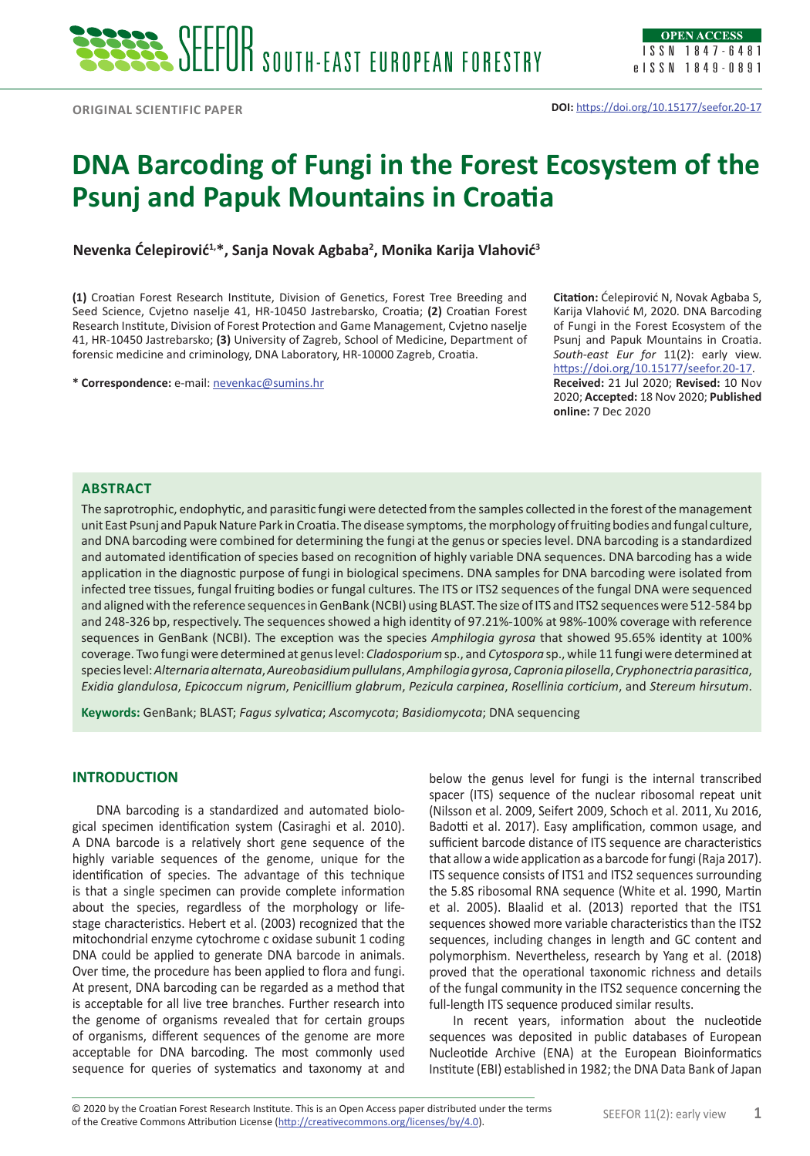# **DNA Barcoding of Fungi in the Forest Ecosystem of the Psunj and Papuk Mountains in Croatia**

## **Nevenka Ćelepirović1,\*, Sanja Novak Agbaba<sup>2</sup> , Monika Karija Vlahović<sup>3</sup>**

**(1)** Croatian Forest Research Institute, Division of Genetics, Forest Tree Breeding and Seed Science, Cvjetno naselje 41, HR-10450 Jastrebarsko, Croatia; **(2)** Croatian Forest Research Institute, Division of Forest Protection and Game Management, Cvjetno naselje 41, HR-10450 Jastrebarsko; **(3)** University of Zagreb, School of Medicine, Department of forensic medicine and criminology, DNA Laboratory, HR-10000 Zagreb, Croatia.

**\* Correspondence:** e-mail: [nevenkac@sumins.hr](mailto:nevenkac@sumins.hr)

**Citation:** Ćelepirović N, Novak Agbaba S, Karija Vlahović M, 2020. DNA Barcoding of Fungi in the Forest Ecosystem of the Psunj and Papuk Mountains in Croatia. *South-east Eur for* 11(2): early view. <https://doi.org/10.15177/seefor.20-17>. **Received:** 21 Jul 2020; **Revised:** 10 Nov 2020; **Accepted:** 18 Nov 2020; **Published online:** 7 Dec 2020

## **Abstract**

The saprotrophic, endophytic, and parasitic fungi were detected from the samples collected in the forest of the management unit East Psunj and Papuk Nature Park in Croatia. The disease symptoms, the morphology of fruiting bodies and fungal culture, and DNA barcoding were combined for determining the fungi at the genus or species level. DNA barcoding is a standardized and automated identification of species based on recognition of highly variable DNA sequences. DNA barcoding has a wide application in the diagnostic purpose of fungi in biological specimens. DNA samples for DNA barcoding were isolated from infected tree tissues, fungal fruiting bodies or fungal cultures. The ITS or ITS2 sequences of the fungal DNA were sequenced and aligned with the reference sequences in GenBank (NCBI) using BLAST. The size of ITS and ITS2 sequences were 512-584 bp and 248-326 bp, respectively. The sequences showed a high identity of 97.21%-100% at 98%-100% coverage with reference sequences in GenBank (NCBI). The exception was the species *Amphilogia gyrosa* that showed 95.65% identity at 100% coverage. Two fungi were determined at genus level: *Cladosporium* sp., and *Cytospora* sp., while 11 fungi were determined at species level: *Alternaria alternata*, *Aureobasidium pullulans*, *Amphilogia gyrosa*, *Capronia pilosella*, *Cryphonectria parasitica*, *Exidia glandulosa*, *Epicoccum nigrum*, *Penicillium glabrum*, *Pezicula carpinea*, *Rosellinia corticium*, and *Stereum hirsutum*.

**Keywords:** GenBank; BLAST; *Fagus sylvatica*; *Ascomycota*; *Basidiomycota*; DNA sequencing

## **INTRODUCTION**

DNA barcoding is a standardized and automated biological specimen identification system (Casiraghi et al. 2010). A DNA barcode is a relatively short gene sequence of the highly variable sequences of the genome, unique for the identification of species. The advantage of this technique is that a single specimen can provide complete information about the species, regardless of the morphology or lifestage characteristics. Hebert et al. (2003) recognized that the mitochondrial enzyme cytochrome c oxidase subunit 1 coding DNA could be applied to generate DNA barcode in animals. Over time, the procedure has been applied to flora and fungi. At present, DNA barcoding can be regarded as a method that is acceptable for all live tree branches. Further research into the genome of organisms revealed that for certain groups of organisms, different sequences of the genome are more acceptable for DNA barcoding. The most commonly used sequence for queries of systematics and taxonomy at and

below the genus level for fungi is the internal transcribed spacer (ITS) sequence of the nuclear ribosomal repeat unit (Nilsson et al. 2009, Seifert 2009, Schoch et al. 2011, Xu 2016, Badotti et al. 2017). Easy amplification, common usage, and sufficient barcode distance of ITS sequence are characteristics that allow a wide application as a barcode for fungi (Raja 2017). ITS sequence consists of ITS1 and ITS2 sequences surrounding the 5.8S ribosomal RNA sequence (White et al. 1990, Martin et al. 2005). Blaalid et al. (2013) reported that the ITS1 sequences showed more variable characteristics than the ITS2 sequences, including changes in length and GC content and polymorphism. Nevertheless, research by Yang et al. (2018) proved that the operational taxonomic richness and details of the fungal community in the ITS2 sequence concerning the full-length ITS sequence produced similar results.

In recent years, information about the nucleotide sequences was deposited in public databases of European Nucleotide Archive (ENA) at the European Bioinformatics Institute (EBI) established in 1982; the DNA Data Bank of Japan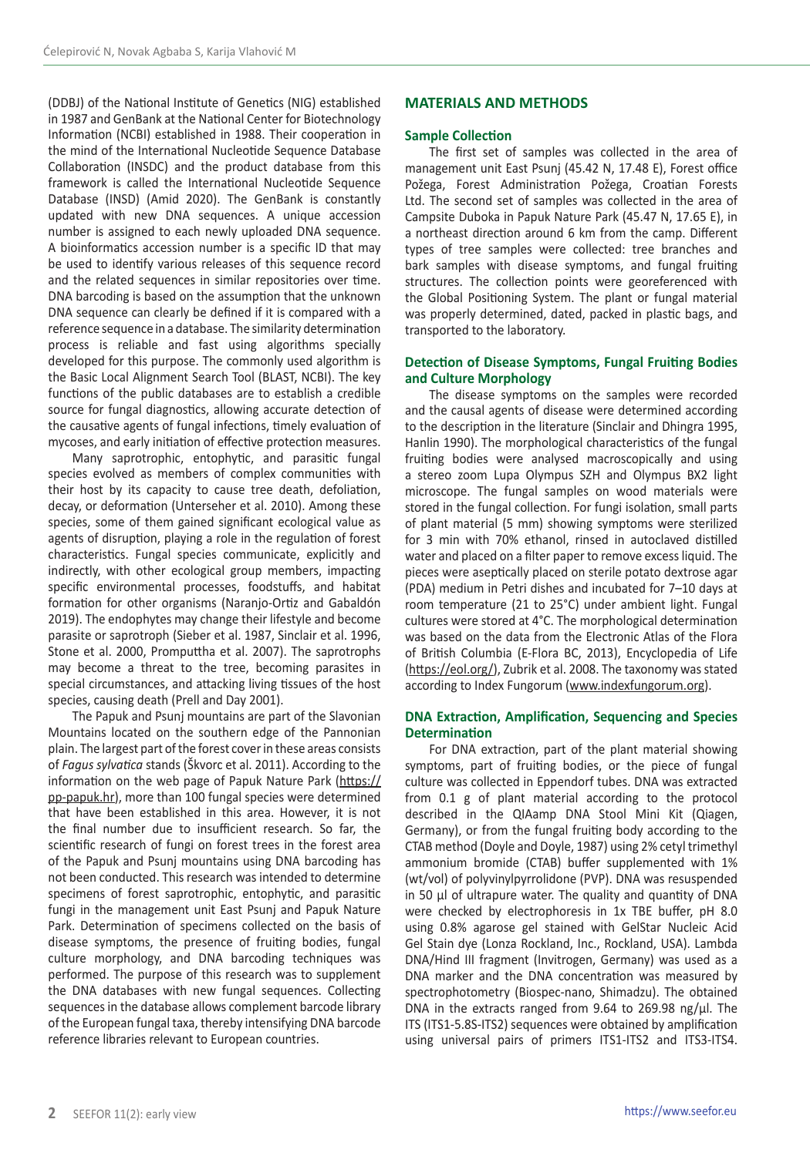(DDBJ) of the National Institute of Genetics (NIG) established in 1987 and GenBank at the National Center for Biotechnology Information (NCBI) established in 1988. Their cooperation in the mind of the International Nucleotide Sequence Database Collaboration (INSDC) and the product database from this framework is called the International Nucleotide Sequence Database (INSD) (Amid 2020). The GenBank is constantly updated with new DNA sequences. A unique accession number is assigned to each newly uploaded DNA sequence. A bioinformatics accession number is a specific ID that may be used to identify various releases of this sequence record and the related sequences in similar repositories over time. DNA barcoding is based on the assumption that the unknown DNA sequence can clearly be defined if it is compared with a reference sequence in a database. The similarity determination process is reliable and fast using algorithms specially developed for this purpose. The commonly used algorithm is the Basic Local Alignment Search Tool (BLAST, NCBI). The key functions of the public databases are to establish a credible source for fungal diagnostics, allowing accurate detection of the causative agents of fungal infections, timely evaluation of mycoses, and early initiation of effective protection measures.

Many saprotrophic, entophytic, and parasitic fungal species evolved as members of complex communities with their host by its capacity to cause tree death, defoliation, decay, or deformation (Unterseher et al. 2010). Among these species, some of them gained significant ecological value as agents of disruption, playing a role in the regulation of forest characteristics. Fungal species communicate, explicitly and indirectly, with other ecological group members, impacting specific environmental processes, foodstuffs, and habitat formation for other organisms (Naranjo‐Ortiz and Gabaldón 2019). The endophytes may change their lifestyle and become parasite or saprotroph (Sieber et al. 1987, Sinclair et al. 1996, Stone et al. 2000, Promputtha et al. 2007). The saprotrophs may become a threat to the tree, becoming parasites in special circumstances, and attacking living tissues of the host species, causing death (Prell and Day 2001).

The Papuk and Psunj mountains are part of the Slavonian Mountains located on the southern edge of the Pannonian plain. The largest part of the forest cover in these areas consists of *Fagus sylvatica* stands (Škvorc et al. 2011). According to the information on the web page of Papuk Nature Park (https:// pp-papuk.hr), more than 100 fungal species were determined that have been established in this area. However, it is not the final number due to insufficient research. So far, the scientific research of fungi on forest trees in the forest area of the Papuk and Psunj mountains using DNA barcoding has not been conducted. This research was intended to determine specimens of forest saprotrophic, entophytic, and parasitic fungi in the management unit East Psunj and Papuk Nature Park. Determination of specimens collected on the basis of disease symptoms, the presence of fruiting bodies, fungal culture morphology, and DNA barcoding techniques was performed. The purpose of this research was to supplement the DNA databases with new fungal sequences. Collecting sequences in the database allows complement barcode library of the European fungal taxa, thereby intensifying DNA barcode reference libraries relevant to European countries.

### **MATERIALS AND METHODS**

#### **Sample Collection**

The first set of samples was collected in the area of management unit East Psunj (45.42 N, 17.48 E), Forest office Požega, Forest Administration Požega, Croatian Forests Ltd. The second set of samples was collected in the area of Campsite Duboka in Papuk Nature Park (45.47 N, 17.65 E), in a northeast direction around 6 km from the camp. Different types of tree samples were collected: tree branches and bark samples with disease symptoms, and fungal fruiting structures. The collection points were georeferenced with the Global Positioning System. The plant or fungal material was properly determined, dated, packed in plastic bags, and transported to the laboratory.

## **Detection of Disease Symptoms, Fungal Fruiting Bodies and Culture Morphology**

The disease symptoms on the samples were recorded and the causal agents of disease were determined according to the description in the literature (Sinclair and Dhingra 1995, Hanlin 1990). The morphological characteristics of the fungal fruiting bodies were analysed macroscopically and using a stereo zoom Lupa Olympus SZH and Olympus BX2 light microscope. The fungal samples on wood materials were stored in the fungal collection. For fungi isolation, small parts of plant material (5 mm) showing symptoms were sterilized for 3 min with 70% ethanol, rinsed in autoclaved distilled water and placed on a filter paper to remove excess liquid. The pieces were aseptically placed on sterile potato dextrose agar (PDA) medium in Petri dishes and incubated for 7–10 days at room temperature (21 to 25°C) under ambient light. Fungal cultures were stored at 4°C. The morphological determination was based on the data from the Electronic Atlas of the Flora of British Columbia (E-Flora BC, 2013), Encyclopedia of Life (<https://eol.org/>), Zubrik et al. 2008. The taxonomy was stated according to Index Fungorum ([www.indexfungorum.org](http://www.indexfungorum.org/)).

## **DNA Extraction, Amplification, Sequencing and Species Determination**

For DNA extraction, part of the plant material showing symptoms, part of fruiting bodies, or the piece of fungal culture was collected in Eppendorf tubes. DNA was extracted from 0.1 g of plant material according to the protocol described in the QIAamp DNA Stool Mini Kit (Qiagen, Germany), or from the fungal fruiting body according to the CTAB method (Doyle and Doyle, 1987) using 2% cetyl trimethyl ammonium bromide (CTAB) buffer supplemented with 1% (wt/vol) of polyvinylpyrrolidone (PVP). DNA was resuspended in 50 µl of ultrapure water. The quality and quantity of DNA were checked by electrophoresis in 1x TBE buffer, pH 8.0 using 0.8% agarose gel stained with GelStar Nucleic Acid Gel Stain dye (Lonza Rockland, Inc., Rockland, USA). Lambda DNA/Hind III fragment (Invitrogen, Germany) was used as a DNA marker and the DNA concentration was measured by spectrophotometry (Biospec-nano, Shimadzu). The obtained DNA in the extracts ranged from  $9.64$  to  $269.98$  ng/ $\mu$ l. The ITS (ITS1-5.8S-ITS2) sequences were obtained by amplification using universal pairs of primers ITS1-ITS2 and ITS3-ITS4.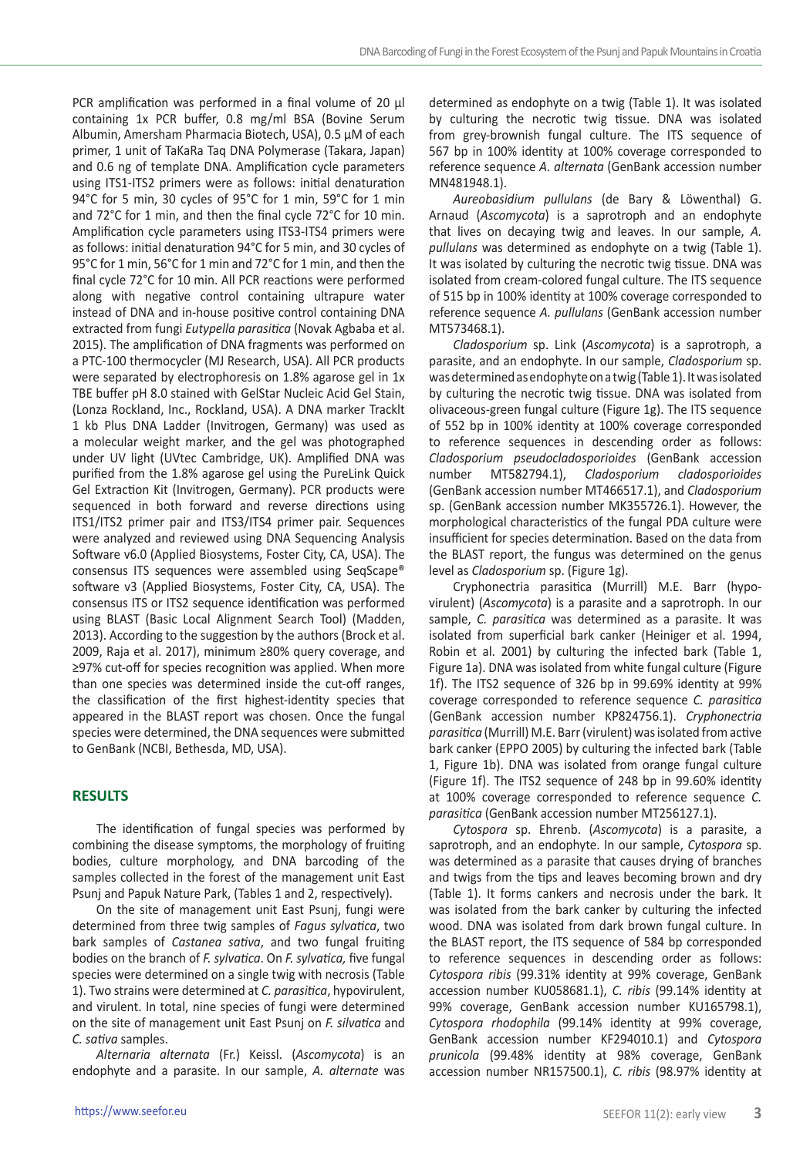PCR amplification was performed in a final volume of 20  $\mu$ l containing 1x PCR buffer, 0.8 mg/ml BSA (Bovine Serum Albumin, Amersham Pharmacia Biotech, USA), 0.5 µM of each primer, 1 unit of TaKaRa Taq DNA Polymerase (Takara, Japan) and 0.6 ng of template DNA. Amplification cycle parameters using ITS1-ITS2 primers were as follows: initial denaturation 94°C for 5 min, 30 cycles of 95°C for 1 min, 59°C for 1 min and 72°C for 1 min, and then the final cycle 72°C for 10 min. Amplification cycle parameters using ITS3-ITS4 primers were as follows: initial denaturation 94°C for 5 min, and 30 cycles of 95°C for 1 min, 56°C for 1 min and 72°C for 1 min, and then the final cycle 72°C for 10 min. All PCR reactions were performed along with negative control containing ultrapure water instead of DNA and in-house positive control containing DNA extracted from fungi *Eutypella parasitica* (Novak Agbaba et al. 2015). The amplification of DNA fragments was performed on a PTC-100 thermocycler (MJ Research, USA). All PCR products were separated by electrophoresis on 1.8% agarose gel in 1x TBE buffer pH 8.0 stained with GelStar Nucleic Acid Gel Stain, (Lonza Rockland, Inc., Rockland, USA). A DNA marker Tracklt 1 kb Plus DNA Ladder (Invitrogen, Germany) was used as a molecular weight marker, and the gel was photographed under UV light (UVtec Cambridge, UK). Amplified DNA was purified from the 1.8% agarose gel using the PureLink Quick Gel Extraction Kit (Invitrogen, Germany). PCR products were sequenced in both forward and reverse directions using ITS1/ITS2 primer pair and ITS3/ITS4 primer pair. Sequences were analyzed and reviewed using DNA Sequencing Analysis Software v6.0 (Applied Biosystems, Foster City, CA, USA). The consensus ITS sequences were assembled using SeqScape® software v3 (Applied Biosystems, Foster City, CA, USA). The consensus ITS or ITS2 sequence identification was performed using BLAST (Basic Local Alignment Search Tool) (Madden, 2013). According to the suggestion by the authors (Brock et al. 2009, Raja et al. 2017), minimum ≥80% query coverage, and ≥97% cut-off for species recognition was applied. When more than one species was determined inside the cut-off ranges, the classification of the first highest-identity species that appeared in the BLAST report was chosen. Once the fungal species were determined, the DNA sequences were submitted to GenBank (NCBI, Bethesda, MD, USA).

## **RESULTS**

The identification of fungal species was performed by combining the disease symptoms, the morphology of fruiting bodies, culture morphology, and DNA barcoding of the samples collected in the forest of the management unit East Psunj and Papuk Nature Park, (Tables 1 and 2, respectively).

On the site of management unit East Psunj, fungi were determined from three twig samples of *Fagus sylvatica*, two bark samples of *Castanea sativa*, and two fungal fruiting bodies on the branch of *F. sylvatica*. On *F. sylvatica,* five fungal species were determined on a single twig with necrosis (Table 1). Two strains were determined at *C. parasitica*, hypovirulent, and virulent. In total, nine species of fungi were determined on the site of management unit East Psunj on *F. silvatica* and *C. sativa* samples.

*Alternaria alternata* (Fr.) Keissl. (*Ascomycota*) is an endophyte and a parasite. In our sample, *A. alternate* was determined as endophyte on a twig (Table 1). It was isolated by culturing the necrotic twig tissue. DNA was isolated from grey-brownish fungal culture. The ITS sequence of 567 bp in 100% identity at 100% coverage corresponded to reference sequence *A. alternata* (GenBank accession number MN481948.1).

*Aureobasidium pullulans* (de Bary & Löwenthal) G. Arnaud (*Ascomycota*) is a saprotroph and an endophyte that lives on decaying twig and leaves. In our sample, *A. pullulans* was determined as endophyte on a twig (Table 1). It was isolated by culturing the necrotic twig tissue. DNA was isolated from cream-colored fungal culture. The ITS sequence of 515 bp in 100% identity at 100% coverage corresponded to reference sequence *A. pullulans* (GenBank accession number MT573468.1).

*Cladosporium* sp. Link (*Ascomycota*) is a saprotroph, a parasite, and an endophyte. In our sample, *Cladosporium* sp. was determined as endophyte on a twig (Table 1). It was isolated by culturing the necrotic twig tissue. DNA was isolated from olivaceous-green fungal culture (Figure 1g). The ITS sequence of 552 bp in 100% identity at 100% coverage corresponded to reference sequences in descending order as follows: *Cladosporium pseudocladosporioides* (GenBank accession number MT582794.1), *Cladosporium cladosporioides*  (GenBank accession number MT466517.1), and *Cladosporium*  sp. (GenBank accession number MK355726.1). However, the morphological characteristics of the fungal PDA culture were insufficient for species determination. Based on the data from the BLAST report, the fungus was determined on the genus level as *Cladosporium* sp. (Figure 1g).

Cryphonectria parasitica (Murrill) M.E. Barr (hypovirulent) (*Ascomycota*) is a parasite and a saprotroph. In our sample, *C. parasitica* was determined as a parasite. It was isolated from superficial bark canker (Heiniger et al. 1994, Robin et al. 2001) by culturing the infected bark (Table 1, Figure 1a). DNA was isolated from white fungal culture (Figure 1f). The ITS2 sequence of 326 bp in 99.69% identity at 99% coverage corresponded to reference sequence *C. parasitica* (GenBank accession number KP824756.1). *Cryphonectria parasitica* (Murrill) M.E. Barr (virulent) was isolated from active bark canker (EPPO 2005) by culturing the infected bark (Table 1, Figure 1b). DNA was isolated from orange fungal culture (Figure 1f). The ITS2 sequence of 248 bp in 99.60% identity at 100% coverage corresponded to reference sequence *C. parasitica* (GenBank accession number MT256127.1).

*Cytospora* sp. Ehrenb. (*Ascomycota*) is a parasite, a saprotroph, and an endophyte. In our sample, *Cytospora* sp. was determined as a parasite that causes drying of branches and twigs from the tips and leaves becoming brown and dry (Table 1). It forms cankers and necrosis under the bark. It was isolated from the bark canker by culturing the infected wood. DNA was isolated from dark brown fungal culture. In the BLAST report, the ITS sequence of 584 bp corresponded to reference sequences in descending order as follows: *Cytospora ribis* (99.31% identity at 99% coverage, GenBank accession number KU058681.1), *C. ribis* (99.14% identity at 99% coverage, GenBank accession number KU165798.1), *Cytospora rhodophila* (99.14% identity at 99% coverage, GenBank accession number KF294010.1) and *Cytospora prunicola* (99.48% identity at 98% coverage, GenBank accession number NR157500.1), *C. ribis* (98.97% identity at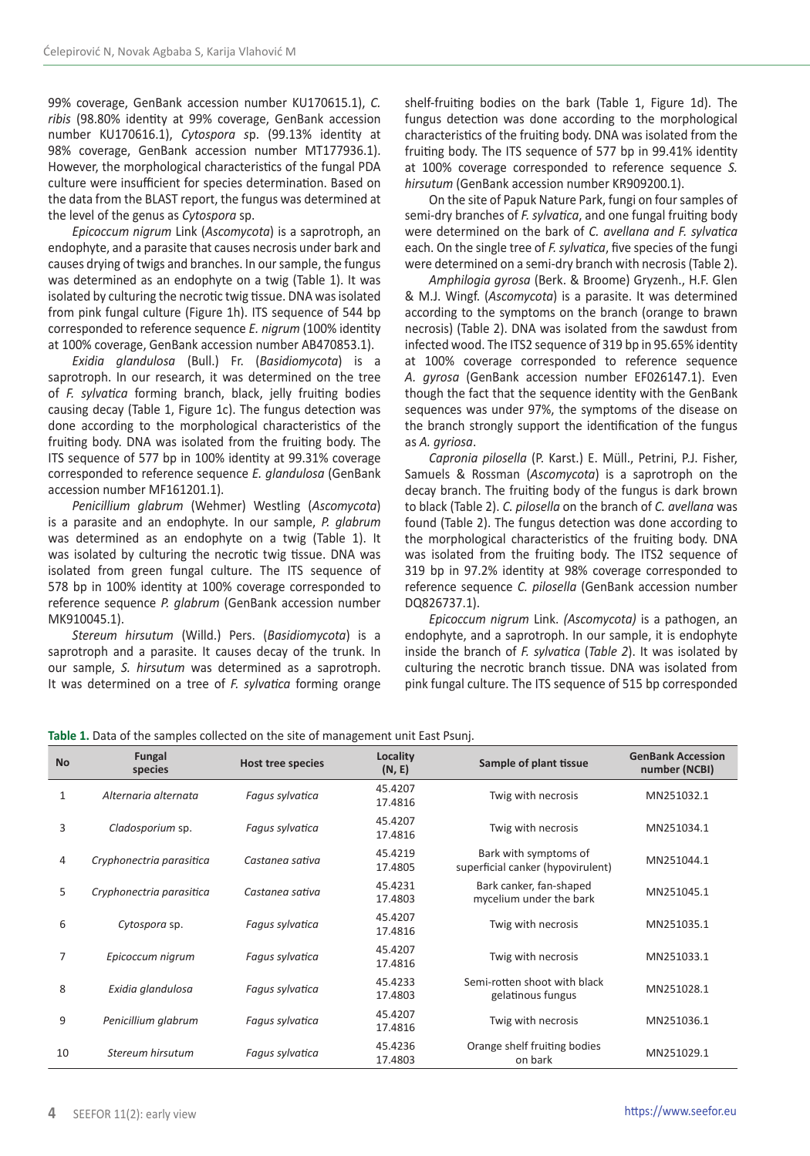99% coverage, GenBank accession number KU170615.1), *C. ribis* (98.80% identity at 99% coverage, GenBank accession number KU170616.1), *Cytospora s*p. (99.13% identity at 98% coverage, GenBank accession number MT177936.1). However, the morphological characteristics of the fungal PDA culture were insufficient for species determination. Based on the data from the BLAST report, the fungus was determined at the level of the genus as *Cytospora* sp.

*Epicoccum nigrum* Link (*Ascomycota*) is a saprotroph, an endophyte, and a parasite that causes necrosis under bark and causes drying of twigs and branches. In our sample, the fungus was determined as an endophyte on a twig (Table 1). It was isolated by culturing the necrotic twig tissue. DNA was isolated from pink fungal culture (Figure 1h). ITS sequence of 544 bp corresponded to reference sequence *E. nigrum* (100% identity at 100% coverage, GenBank accession number AB470853.1).

*Exidia glandulosa* (Bull.) Fr. (*Basidiomycota*) is a saprotroph. In our research, it was determined on the tree of *F. sylvatica* forming branch, black, jelly fruiting bodies causing decay (Table 1, Figure 1c). The fungus detection was done according to the morphological characteristics of the fruiting body. DNA was isolated from the fruiting body. The ITS sequence of 577 bp in 100% identity at 99.31% coverage corresponded to reference sequence *E. glandulosa* (GenBank accession number MF161201.1).

*Penicillium glabrum* (Wehmer) Westling (*Ascomycota*) is a parasite and an endophyte. In our sample, *P. glabrum* was determined as an endophyte on a twig (Table 1). It was isolated by culturing the necrotic twig tissue. DNA was isolated from green fungal culture. The ITS sequence of 578 bp in 100% identity at 100% coverage corresponded to reference sequence *P. glabrum* (GenBank accession number MK910045.1).

*Stereum hirsutum* (Willd.) Pers. (*Basidiomycota*) is a saprotroph and a parasite. It causes decay of the trunk. In our sample, *S. hirsutum* was determined as a saprotroph. It was determined on a tree of *F. sylvatica* forming orange shelf-fruiting bodies on the bark (Table 1, Figure 1d). The fungus detection was done according to the morphological characteristics of the fruiting body. DNA was isolated from the fruiting body. The ITS sequence of 577 bp in 99.41% identity at 100% coverage corresponded to reference sequence *S. hirsutum* (GenBank accession number KR909200.1).

On the site of Papuk Nature Park, fungi on four samples of semi-dry branches of *F. sylvatica*, and one fungal fruiting body were determined on the bark of *C. avellana and F. sylvatica* each. On the single tree of *F. sylvatica*, five species of the fungi were determined on a semi-dry branch with necrosis (Table 2).

*Amphilogia gyrosa* (Berk. & Broome) Gryzenh., H.F. Glen & M.J. Wingf. (*Ascomycota*) is a parasite. It was determined according to the symptoms on the branch (orange to brawn necrosis) (Table 2). DNA was isolated from the sawdust from infected wood. The ITS2 sequence of 319 bp in 95.65% identity at 100% coverage corresponded to reference sequence *A. gyrosa* (GenBank accession number EF026147.1). Even though the fact that the sequence identity with the GenBank sequences was under 97%, the symptoms of the disease on the branch strongly support the identification of the fungus as *A. gyriosa*.

*Capronia pilosella* (P. Karst.) E. Müll., Petrini, P.J. Fisher, Samuels & Rossman (*Ascomycota*) is a saprotroph on the decay branch. The fruiting body of the fungus is dark brown to black (Table 2). *C. pilosella* on the branch of *C. avellana* was found (Table 2). The fungus detection was done according to the morphological characteristics of the fruiting body. DNA was isolated from the fruiting body. The ITS2 sequence of 319 bp in 97.2% identity at 98% coverage corresponded to reference sequence *C. pilosella* (GenBank accession number DQ826737.1).

*Epicoccum nigrum* Link. *(Ascomycota)* is a pathogen, an endophyte, and a saprotroph. In our sample, it is endophyte inside the branch of *F. sylvatica* (*Table 2*). It was isolated by culturing the necrotic branch tissue. DNA was isolated from pink fungal culture. The ITS sequence of 515 bp corresponded

| <b>No</b> | Fungal<br>species        | <b>Host tree species</b> | Locality<br>(N, E) | Sample of plant tissue                                     | <b>GenBank Accession</b><br>number (NCBI) |
|-----------|--------------------------|--------------------------|--------------------|------------------------------------------------------------|-------------------------------------------|
| 1         | Alternaria alternata     | Fagus sylvatica          | 45.4207<br>17.4816 | Twig with necrosis                                         | MN251032.1                                |
| 3         | Cladosporium sp.         | Fagus sylvatica          | 45.4207<br>17.4816 | Twig with necrosis                                         | MN251034.1                                |
| 4         | Cryphonectria parasitica | Castanea sativa          | 45.4219<br>17.4805 | Bark with symptoms of<br>superficial canker (hypovirulent) | MN251044.1                                |
| 5         | Cryphonectria parasitica | Castanea sativa          | 45.4231<br>17.4803 | Bark canker, fan-shaped<br>mycelium under the bark         | MN251045.1                                |
| 6         | Cytospora sp.            | Fagus sylvatica          | 45.4207<br>17.4816 | Twig with necrosis                                         | MN251035.1                                |
| 7         | Epicoccum nigrum         | Fagus sylvatica          | 45.4207<br>17.4816 | Twig with necrosis                                         | MN251033.1                                |
| 8         | Exidia glandulosa        | Fagus sylvatica          | 45.4233<br>17.4803 | Semi-rotten shoot with black<br>gelatinous fungus          | MN251028.1                                |
| 9         | Penicillium glabrum      | Fagus sylvatica          | 45.4207<br>17.4816 | Twig with necrosis                                         | MN251036.1                                |
| 10        | Stereum hirsutum         | Fagus sylvatica          | 45.4236<br>17.4803 | Orange shelf fruiting bodies<br>on bark                    | MN251029.1                                |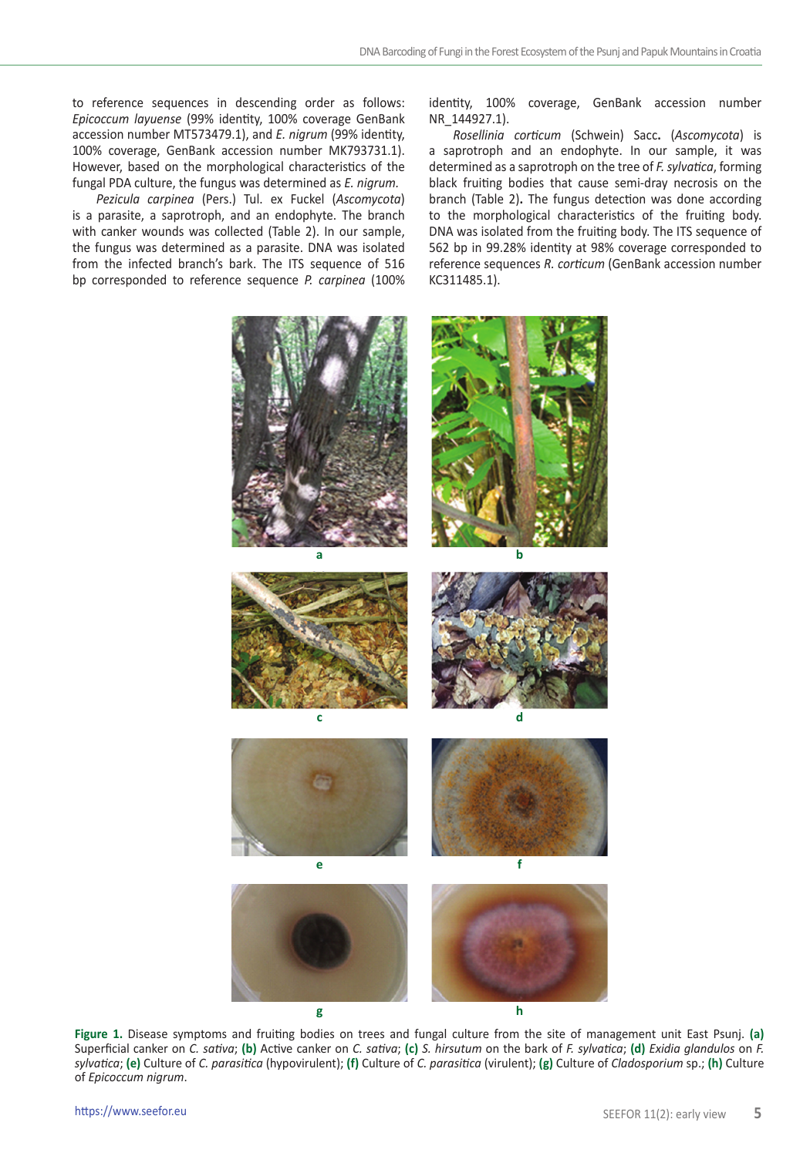to reference sequences in descending order as follows: *Epicoccum layuense* (99% identity, 100% coverage GenBank accession number MT573479.1), and *E. nigrum* (99% identity, 100% coverage, GenBank accession number MK793731.1). However, based on the morphological characteristics of the fungal PDA culture, the fungus was determined as *E. nigrum.*

*Pezicula carpinea* (Pers.) Tul. ex Fuckel (*Ascomycota*) is a parasite, a saprotroph, and an endophyte. The branch with canker wounds was collected (Table 2). In our sample, the fungus was determined as a parasite. DNA was isolated from the infected branch's bark. The ITS sequence of 516 bp corresponded to reference sequence *P. carpinea* (100%

identity, 100% coverage, GenBank accession number NR\_144927.1).

*Rosellinia corticum* (Schwein) Sacc**.** (*Ascomycota*) is a saprotroph and an endophyte. In our sample, it was determined as a saprotroph on the tree of *F. sylvatica*, forming black fruiting bodies that cause semi-dray necrosis on the branch (Table 2)**.** The fungus detection was done according to the morphological characteristics of the fruiting body. DNA was isolated from the fruiting body. The ITS sequence of 562 bp in 99.28% identity at 98% coverage corresponded to reference sequences *R. corticum* (GenBank accession number KC311485.1).



**Figure 1.** Disease symptoms and fruiting bodies on trees and fungal culture from the site of management unit East Psunj. **(a)** Superficial canker on *C. sativa*; **(b)** Active canker on *C. sativa*; **(c)** *S. hirsutum* on the bark of *F. sylvatica*; **(d)** *Exidia glandulos* on *F. sylvatica*; **(e)** Culture of *C. parasitica* (hypovirulent); **(f)** Culture of *C. parasitica* (virulent); **(g)** Culture of *Cladosporium* sp.; **(h)** Culture of *Epicoccum nigrum*.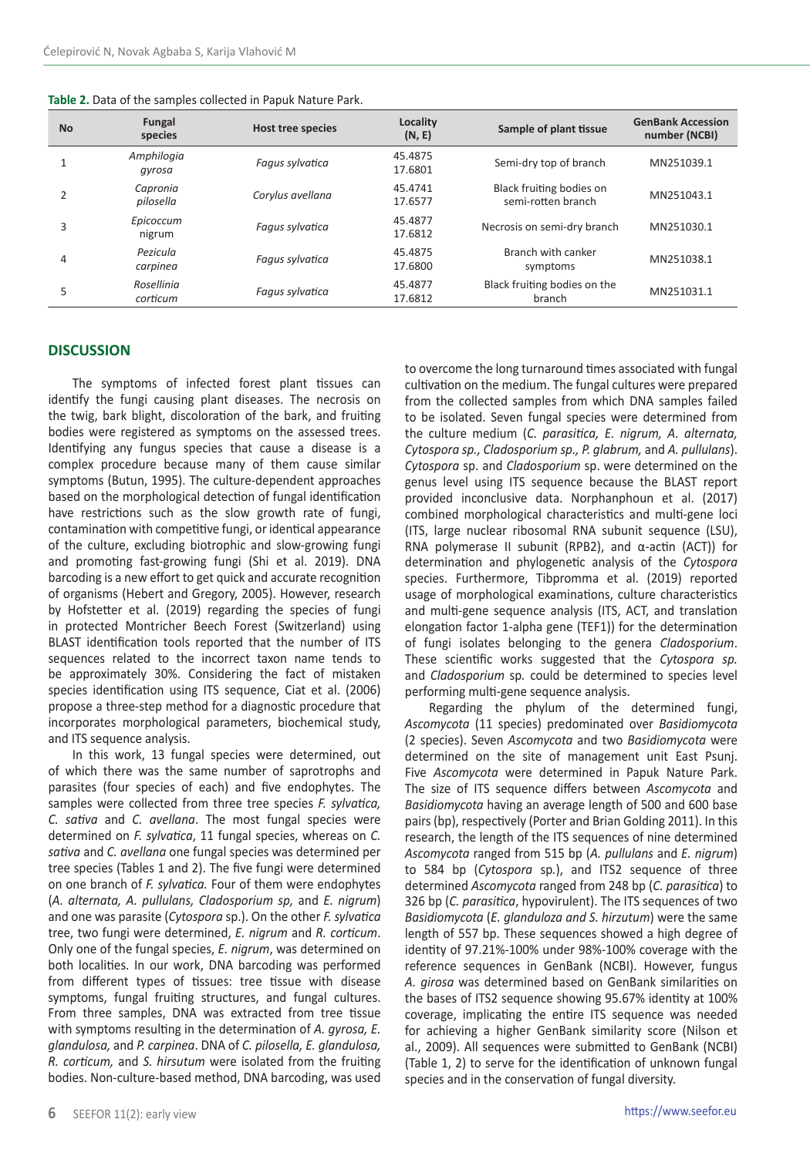| <b>No</b> | Fungal<br>species      | <b>Host tree species</b> | Locality<br>(N, E) | Sample of plant tissue                         | <b>GenBank Accession</b><br>number (NCBI) |
|-----------|------------------------|--------------------------|--------------------|------------------------------------------------|-------------------------------------------|
|           | Amphilogia<br>gyrosa   | Fagus sylvatica          | 45.4875<br>17.6801 | Semi-dry top of branch                         | MN251039.1                                |
| 2         | Capronia<br>pilosella  | Corylus avellana         | 45.4741<br>17.6577 | Black fruiting bodies on<br>semi-rotten branch | MN251043.1                                |
| 3         | Epicoccum<br>nigrum    | Fagus sylvatica          | 45.4877<br>17.6812 | Necrosis on semi-dry branch                    | MN251030.1                                |
| 4         | Pezicula<br>carpinea   | Fagus sylvatica          | 45.4875<br>17.6800 | Branch with canker<br>symptoms                 | MN251038.1                                |
| 5         | Rosellinia<br>corticum | Fagus sylvatica          | 45.4877<br>17.6812 | Black fruiting bodies on the<br>branch         | MN251031.1                                |

### **DISCUSSION**

The symptoms of infected forest plant tissues can identify the fungi causing plant diseases. The necrosis on the twig, bark blight, discoloration of the bark, and fruiting bodies were registered as symptoms on the assessed trees. Identifying any fungus species that cause a disease is a complex procedure because many of them cause similar symptoms (Butun, 1995). The culture-dependent approaches based on the morphological detection of fungal identification have restrictions such as the slow growth rate of fungi, contamination with competitive fungi, or identical appearance of the culture, excluding biotrophic and slow-growing fungi and promoting fast-growing fungi (Shi et al. 2019). DNA barcoding is a new effort to get quick and accurate recognition of organisms (Hebert and Gregory, 2005). However, research by Hofstetter et al. (2019) regarding the species of fungi in protected Montricher Beech Forest (Switzerland) using BLAST identification tools reported that the number of ITS sequences related to the incorrect taxon name tends to be approximately 30%. Considering the fact of mistaken species identification using ITS sequence, Ciat et al. (2006) propose a three-step method for a diagnostic procedure that incorporates morphological parameters, biochemical study, and ITS sequence analysis.

In this work, 13 fungal species were determined, out of which there was the same number of saprotrophs and parasites (four species of each) and five endophytes. The samples were collected from three tree species *F. sylvatica, C. sativa* and *C. avellana*. The most fungal species were determined on *F. sylvatica*, 11 fungal species, whereas on *C. sativa* and *C. avellana* one fungal species was determined per tree species (Tables 1 and 2). The five fungi were determined on one branch of *F. sylvatica.* Four of them were endophytes (*A. alternata, A. pullulans, Cladosporium sp,* and *E. nigrum*) and one was parasite (*Cytospora* sp.). On the other *F. sylvatica* tree, two fungi were determined, *E. nigrum* and *R. corticum*. Only one of the fungal species, *E. nigrum*, was determined on both localities. In our work, DNA barcoding was performed from different types of tissues: tree tissue with disease symptoms, fungal fruiting structures, and fungal cultures. From three samples, DNA was extracted from tree tissue with symptoms resulting in the determination of *A. gyrosa, E. glandulosa,* and *P. carpinea*. DNA of *C. pilosella, E. glandulosa, R. corticum,* and *S. hirsutum* were isolated from the fruiting bodies. Non-culture-based method, DNA barcoding, was used

to overcome the long turnaround times associated with fungal cultivation on the medium. The fungal cultures were prepared from the collected samples from which DNA samples failed to be isolated. Seven fungal species were determined from the culture medium (*C. parasitica, E. nigrum, A. alternata, Cytospora sp., Cladosporium sp., P. glabrum,* and *A. pullulans*). *Cytospora* sp. and *Cladosporium* sp. were determined on the genus level using ITS sequence because the BLAST report provided inconclusive data. Norphanphoun et al. (2017) combined morphological characteristics and multi-gene loci (ITS, large nuclear ribosomal RNA subunit sequence (LSU), RNA polymerase II subunit (RPB2), and α-actin (ACT)) for determination and phylogenetic analysis of the *Cytospora* species. Furthermore, Tibpromma et al. (2019) reported usage of morphological examinations, culture characteristics and multi-gene sequence analysis (ITS, ACT, and translation elongation factor 1-alpha gene (TEF1)) for the determination of fungi isolates belonging to the genera *Cladosporium*. These scientific works suggested that the *Cytospora sp.*  and *Cladosporium* sp*.* could be determined to species level performing multi-gene sequence analysis.

Regarding the phylum of the determined fungi, *Ascomycota* (11 species) predominated over *Basidiomycota* (2 species). Seven *Ascomycota* and two *Basidiomycota* were determined on the site of management unit East Psunj. Five *Ascomycota* were determined in Papuk Nature Park. The size of ITS sequence differs between *Ascomycota* and *Basidiomycota* having an average length of 500 and 600 base pairs (bp), respectively (Porter and Brian Golding 2011). In this research, the length of the ITS sequences of nine determined *Ascomycota* ranged from 515 bp (*A. pullulans* and *E. nigrum*) to 584 bp (*Cytospora* sp*.*), and ITS2 sequence of three determined *Ascomycota* ranged from 248 bp (*C. parasitica*) to 326 bp (*C. parasitica*, hypovirulent). The ITS sequences of two *Basidiomycota* (*E. glanduloza and S. hirzutum*) were the same length of 557 bp. These sequences showed a high degree of identity of 97.21%-100% under 98%-100% coverage with the reference sequences in GenBank (NCBI). However, fungus *A. girosa* was determined based on GenBank similarities on the bases of ITS2 sequence showing 95.67% identity at 100% coverage, implicating the entire ITS sequence was needed for achieving a higher GenBank similarity score (Nilson et al., 2009). All sequences were submitted to GenBank (NCBI) (Table 1, 2) to serve for the identification of unknown fungal species and in the conservation of fungal diversity.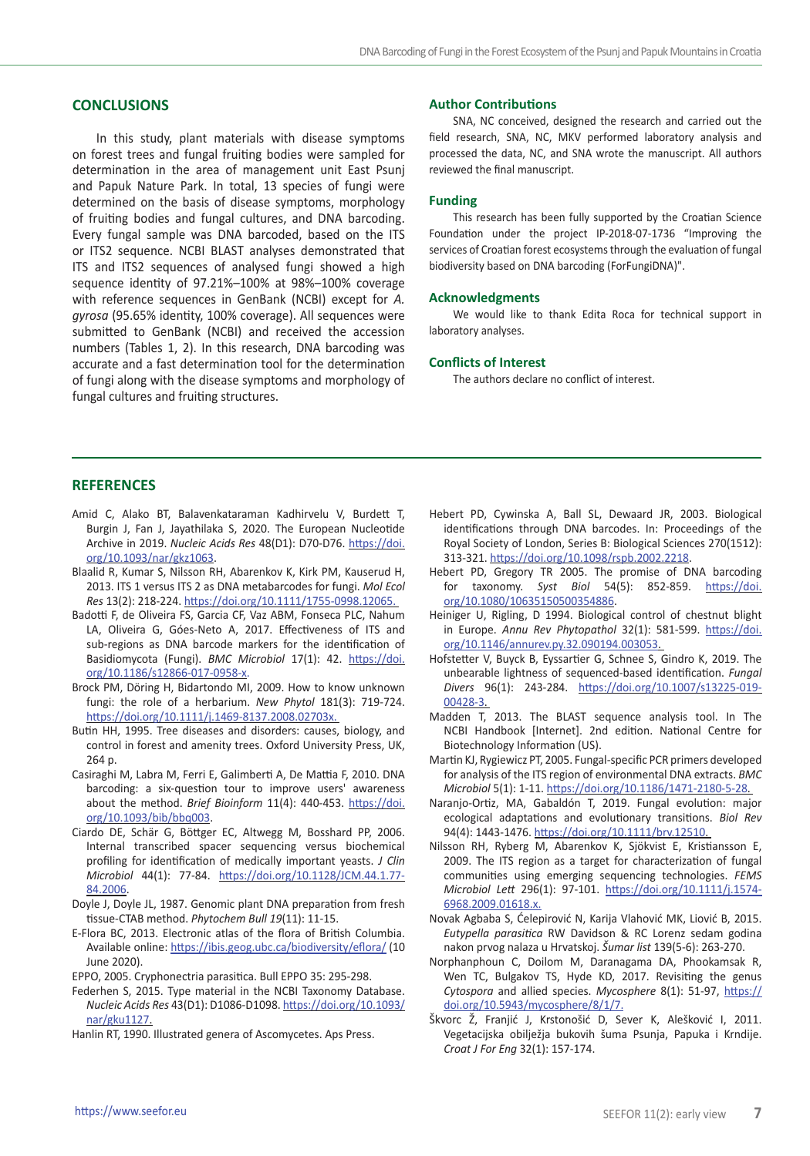## **CONCLUSIONS**

In this study, plant materials with disease symptoms on forest trees and fungal fruiting bodies were sampled for determination in the area of management unit East Psunj and Papuk Nature Park. In total, 13 species of fungi were determined on the basis of disease symptoms, morphology of fruiting bodies and fungal cultures, and DNA barcoding. Every fungal sample was DNA barcoded, based on the ITS or ITS2 sequence. NCBI BLAST analyses demonstrated that ITS and ITS2 sequences of analysed fungi showed a high sequence identity of 97.21%–100% at 98%–100% coverage with reference sequences in GenBank (NCBI) except for *A. gyrosa* (95.65% identity, 100% coverage). All sequences were submitted to GenBank (NCBI) and received the accession numbers (Tables 1, 2). In this research, DNA barcoding was accurate and a fast determination tool for the determination of fungi along with the disease symptoms and morphology of fungal cultures and fruiting structures.

#### **Author Contributions**

SNA, NC conceived, designed the research and carried out the field research, SNA, NC, MKV performed laboratory analysis and processed the data, NC, and SNA wrote the manuscript. All authors reviewed the final manuscript.

#### **Funding**

This research has been fully supported by the Croatian Science Foundation under the project IP-2018-07-1736 "Improving the services of Croatian forest ecosystems through the evaluation of fungal biodiversity based on DNA barcoding (ForFungiDNA)".

#### **Acknowledgments**

We would like to thank Edita Roca for technical support in laboratory analyses.

### **Conflicts of Interest**

The authors declare no conflict of interest.

#### **REFERENCES**

- Amid C, Alako BT, Balavenkataraman Kadhirvelu V, Burdett T, Burgin J, Fan J, Jayathilaka S, 2020. The European Nucleotide Archive in 2019. *Nucleic Acids Res* 48(D1): D70-D76. [https://doi.](https://doi.org/10.1093/nar/gkz1063) [org/10.1093/nar/gkz1063.](https://doi.org/10.1093/nar/gkz1063)
- Blaalid R, Kumar S, Nilsson RH, Abarenkov K, Kirk PM, Kauserud H, 2013. ITS 1 versus ITS 2 as DNA metabarcodes for fungi. *Mol Ecol Res* 13(2): 218-224.<https://doi.org/10.1111/1755-0998.12065>.
- Badotti F, de Oliveira FS, Garcia CF, Vaz ABM, Fonseca PLC, Nahum LA, Oliveira G, Góes-Neto A, 2017. Effectiveness of ITS and sub-regions as DNA barcode markers for the identification of Basidiomycota (Fungi). *BMC Microbiol* 17(1): 42. [https://doi.](https://doi.org/10.1186/s12866-017-0958-x) [org/10.1186/s12866-017-0958-x](https://doi.org/10.1186/s12866-017-0958-x).
- Brock PM, Döring H, Bidartondo MI, 2009. How to know unknown fungi: the role of a herbarium. *New Phytol* 181(3): 719-724. <https://doi.org/10.1111/j.1469-8137.2008.02703x>.
- Butin HH, 1995. Tree diseases and disorders: causes, biology, and control in forest and amenity trees. Oxford University Press, UK, 264 p.
- Casiraghi M, Labra M, Ferri E, Galimberti A, De Mattia F, 2010. DNA barcoding: a six-question tour to improve users' awareness about the method. *Brief Bioinform* 11(4): 440-453. [https://doi.](https://doi.org/10.1093/bib/bbq003) [org/10.1093/bib/bbq003.](https://doi.org/10.1093/bib/bbq003)
- Ciardo DE, Schär G, Böttger EC, Altwegg M, Bosshard PP, 2006. Internal transcribed spacer sequencing versus biochemical profiling for identification of medically important yeasts. *J Clin Microbiol* 44(1): 77-84. [https://doi.org/10.1128/JCM.44.1.77-](https://doi.org/10.1128/JCM.44.1.77-84.2006) [84.2006](https://doi.org/10.1128/JCM.44.1.77-84.2006).
- Doyle J, Doyle JL, 1987. Genomic plant DNA preparation from fresh tissue-CTAB method. *Phytochem Bull 19*(11): 11-15.
- E-Flora BC, 2013. Electronic atlas of the flora of British Columbia. Available online:<https://ibis.geog.ubc.ca/biodiversity/eflora/> (10 June 2020).
- EPPO, 2005. Cryphonectria parasitica. Bull EPPO 35: 295-298.
- Federhen S, 2015. Type material in the NCBI Taxonomy Database. *Nucleic Acids Res* 43(D1): D1086-D1098. [https://doi.org/10.1093/](https://doi.org/10.1093/nar/gku1127) [nar/gku1127.](https://doi.org/10.1093/nar/gku1127)
- Hanlin RT, 1990. Illustrated genera of Ascomycetes. Aps Press.
- Hebert PD, Cywinska A, Ball SL, Dewaard JR, 2003. Biological identifications through DNA barcodes. In: Proceedings of the Royal Society of London, Series B: Biological Sciences 270(1512): 313-321.<https://doi.org/10.1098/rspb.2002.2218>.
- Hebert PD, Gregory TR 2005. The promise of DNA barcoding for taxonomy. *Syst Biol* 54(5): 852-859. [https://doi.](https://doi.org/10.1080/10635150500354886) [org/10.1080/10635150500354886](https://doi.org/10.1080/10635150500354886).
- Heiniger U, Rigling, D 1994. Biological control of chestnut blight in Europe. *Annu Rev Phytopathol* 32(1): 581-599. [https://doi.](https://doi.org/10.1146/annurev.py.32.090194.003053) [org/10.1146/annurev.py.32.090194.003053.](https://doi.org/10.1146/annurev.py.32.090194.003053)
- Hofstetter V, Buyck B, Eyssartier G, Schnee S, Gindro K, 2019. The unbearable lightness of sequenced-based identification. *Fungal Divers* 96(1): 243-284. [https://doi.org/10.1007/s13225-019-](https://doi.org/10.1007/s13225-019-00428-3) [00428-3.](https://doi.org/10.1007/s13225-019-00428-3)
- Madden T, 2013. The BLAST sequence analysis tool. In The NCBI Handbook [Internet]. 2nd edition. National Centre for Biotechnology Information (US).
- Martin KJ, Rygiewicz PT, 2005. Fungal-specific PCR primers developed for analysis of the ITS region of environmental DNA extracts. *BMC Microbiol* 5(1): 1-11. <https://doi.org/10.1186/1471-2180-5-28>.
- Naranjo‐Ortiz, MA, Gabaldón T, 2019. Fungal evolution: major ecological adaptations and evolutionary transitions. *Biol Rev* 94(4): 1443-1476. [https://doi.org/10.1111/brv.12510.](https://doi.org/10.1111/brv.12510)
- Nilsson RH, Ryberg M, Abarenkov K, Sjökvist E, Kristiansson E, 2009. The ITS region as a target for characterization of fungal communities using emerging sequencing technologies. *FEMS Microbiol Lett* 296(1): 97-101. [https://doi.org/10.1111/j.1574-](https://doi.org/10.1111/j.1574-6968.2009.01618.x) [6968.2009.01618.x](https://doi.org/10.1111/j.1574-6968.2009.01618.x).
- Novak Agbaba S, Ćelepirović N, Karija Vlahović MK, Liović B, 2015. *Eutypella parasitica* RW Davidson & RC Lorenz sedam godina nakon prvog nalaza u Hrvatskoj. *Šumar list* 139(5-6): 263-270.
- Norphanphoun C, Doilom M, Daranagama DA, Phookamsak R, Wen TC, Bulgakov TS, Hyde KD, 2017. Revisiting the genus *Cytospora* and allied species. *Mycosphere* 8(1): 51-97, [https://](https://doi.org/10.5943/mycosphere/8/1/7) [doi.org/10.5943/mycosphere/8/1/7.](https://doi.org/10.5943/mycosphere/8/1/7)
- Škvorc Ž, Franjić J, Krstonošić D, Sever K, Alešković I, 2011. Vegetacijska obilježja bukovih šuma Psunja, Papuka i Krndije. *Croat J For Eng* 32(1): 157-174.